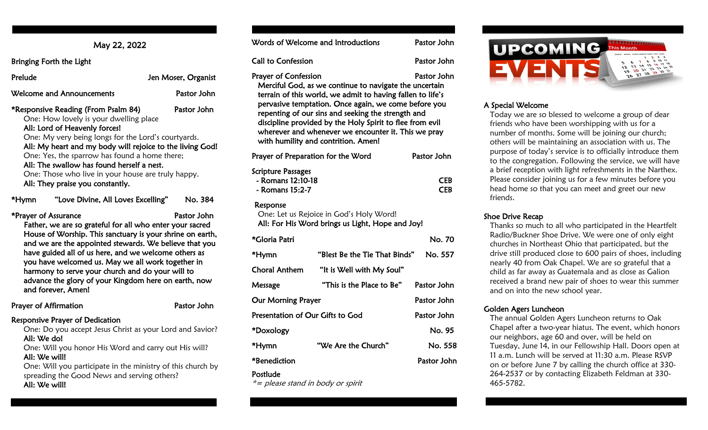Bringing Forth the Light

| .                                                                                                                                                                                                                                                                                                                                                                                                                           |                     |
|-----------------------------------------------------------------------------------------------------------------------------------------------------------------------------------------------------------------------------------------------------------------------------------------------------------------------------------------------------------------------------------------------------------------------------|---------------------|
| Prelude                                                                                                                                                                                                                                                                                                                                                                                                                     | Jen Moser, Organist |
| Welcome and Announcements                                                                                                                                                                                                                                                                                                                                                                                                   | Pastor John         |
| *Responsive Reading (From Psalm 84)<br>One: How lovely is your dwelling place<br>All: Lord of Heavenly forces!<br>One: My very being longs for the Lord's courtyards.<br>All: My heart and my body will rejoice to the living God!<br>One: Yes, the sparrow has found a home there;<br>All: The swallow has found herself a nest.<br>One: Those who live in your house are truly happy.<br>All: They praise you constantly. | Pastor John         |
| "Love Divine, All Loves Excelling"<br>*Hymn                                                                                                                                                                                                                                                                                                                                                                                 | No. 384             |
| *Prayer of Assurance<br>Father, we are so grateful for all who enter your sacred                                                                                                                                                                                                                                                                                                                                            | Pastor John         |

House of Worship. This sanctuary is your shrine on earth, and we are the appointed stewards. We believe that you have guided all of us here, and we welcome others as you have welcomed us. May we all work together in harmony to serve your church and do your will to advance the glory of your Kingdom here on earth, now and forever, Amen!

| Prayer of Affirmation                                   | Pastor John |
|---------------------------------------------------------|-------------|
| Responsive Prayer of Dedication                         |             |
| Open Do vou assent lesus Christ as vour Lord and Cavior |             |

One: Do you accept Jesus Christ as your Lord and Savior? All: We do!

 One: Will you honor His Word and carry out His will? All: We will!

 One: Will you participate in the ministry of this church by spreading the Good News and serving others? All: We will!

|                                                                   | Words of Welcome and Introductions                                                                                                                                                                                                                                                                                                                                                           | Pastor John              |
|-------------------------------------------------------------------|----------------------------------------------------------------------------------------------------------------------------------------------------------------------------------------------------------------------------------------------------------------------------------------------------------------------------------------------------------------------------------------------|--------------------------|
| <b>Call to Confession</b>                                         |                                                                                                                                                                                                                                                                                                                                                                                              | Pastor John              |
| <b>Prayer of Confession</b>                                       | Merciful God, as we continue to navigate the uncertain<br>terrain of this world, we admit to having fallen to life's<br>pervasive temptation. Once again, we come before you<br>repenting of our sins and seeking the strength and<br>discipline provided by the Holy Spirit to flee from evil<br>wherever and whenever we encounter it. This we pray<br>with humility and contrition. Amen! | Pastor John              |
| Prayer of Preparation for the Word                                |                                                                                                                                                                                                                                                                                                                                                                                              | Pastor John              |
| <b>Scripture Passages</b><br>- Romans 12:10-18<br>- Romans 15:2-7 |                                                                                                                                                                                                                                                                                                                                                                                              | <b>CEB</b><br><b>CEB</b> |
| Response                                                          | One: Let us Rejoice in God's Holy Word!<br>All: For His Word brings us Light, Hope and Joy!                                                                                                                                                                                                                                                                                                  |                          |
| *Gloria Patri                                                     |                                                                                                                                                                                                                                                                                                                                                                                              | No. 70                   |
| *Hymn                                                             | "Blest Be the Tie That Binds"                                                                                                                                                                                                                                                                                                                                                                | No. 557                  |
| <b>Choral Anthem</b>                                              | "It is Well with My Soul"                                                                                                                                                                                                                                                                                                                                                                    |                          |
| Message                                                           | "This is the Place to Be"                                                                                                                                                                                                                                                                                                                                                                    | Pastor John              |
| <b>Our Morning Prayer</b>                                         |                                                                                                                                                                                                                                                                                                                                                                                              | Pastor John              |
| Presentation of Our Gifts to God                                  |                                                                                                                                                                                                                                                                                                                                                                                              | Pastor John              |
| *Doxology                                                         |                                                                                                                                                                                                                                                                                                                                                                                              | No. 95                   |
| *Hymn                                                             | "We Are the Church"                                                                                                                                                                                                                                                                                                                                                                          | No. 558                  |
| *Benediction                                                      |                                                                                                                                                                                                                                                                                                                                                                                              | Pastor John              |

### Postlude

\*= please stand in body or spirit



# A Special Welcome

Today we are so blessed to welcome a group of dear friends who have been worshipping with us for a number of months. Some will be joining our church; others will be maintaining an association with us. The purpose of today's service is to officially introduce them to the congregation. Following the service, we will have a brief reception with light refreshments in the Narthex. Please consider joining us for a few minutes before you head home so that you can meet and greet our new friends.

# Shoe Drive Recap

Thanks so much to all who participated in the Heartfelt Radio/Buckner Shoe Drive. We were one of only eight churches in Northeast Ohio that participated, but the drive still produced close to 600 pairs of shoes, including nearly 40 from Oak Chapel. We are so grateful that a child as far away as Guatemala and as close as Galion received a brand new pair of shoes to wear this summer and on into the new school year.

# Golden Agers Luncheon

The annual Golden Agers Luncheon returns to Oak Chapel after a two-year hiatus. The event, which honors our neighbors, age 60 and over, will be held on Tuesday, June 14, in our Fellowship Hall. Doors open at 11 a.m. Lunch will be served at 11:30 a.m. Please RSVP on or before June 7 by calling the church office at 330- 264-2537 or by contacting Elizabeth Feldman at 330- 465-5782.